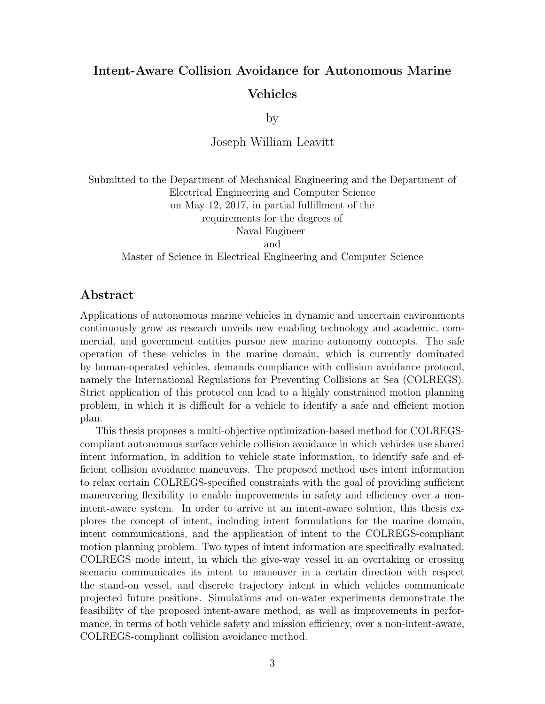## Intent-Aware Collision Avoidance for Autonomous Marine Vehicles

by

Joseph William Leavitt

Submitted to the Department of Mechanical Engineering and the Department of Electrical Engineering and Computer Science on May 12, 2017, in partial fulfillment of the requirements for the degrees of Naval Engineer and

Master of Science in Electrical Engineering and Computer Science

## Abstract

Applications of autonomous marine vehicles in dynamic and uncertain environments continuously grow as research unveils new enabling technology and academic, commercial, and government entities pursue new marine autonomy concepts. The safe operation of these vehicles in the marine domain, which is currently dominated by human-operated vehicles, demands compliance with collision avoidance protocol, namely the International Regulations for Preventing Collisions at Sea (COLREGS). Strict application of this protocol can lead to a highly constrained motion planning problem, in which it is difficult for a vehicle to identify a safe and efficient motion plan.

This thesis proposes a multi-objective optimization-based method for COLREGScompliant autonomous surface vehicle collision avoidance in which vehicles use shared intent information, in addition to vehicle state information, to identify safe and efficient collision avoidance maneuvers. The proposed method uses intent information to relax certain COLREGS-specified constraints with the goal of providing sufficient maneuvering flexibility to enable improvements in safety and efficiency over a nonintent-aware system. In order to arrive at an intent-aware solution, this thesis explores the concept of intent, including intent formulations for the marine domain, intent communications, and the application of intent to the COLREGS-compliant motion planning problem. Two types of intent information are specifically evaluated: COLREGS mode intent, in which the give-way vessel in an overtaking or crossing scenario communicates its intent to maneuver in a certain direction with respect the stand-on vessel, and discrete trajectory intent in which vehicles communicate projected future positions. Simulations and on-water experiments demonstrate the feasibility of the proposed intent-aware method, as well as improvements in performance, in terms of both vehicle safety and mission efficiency, over a non-intent-aware, COLREGS-compliant collision avoidance method.